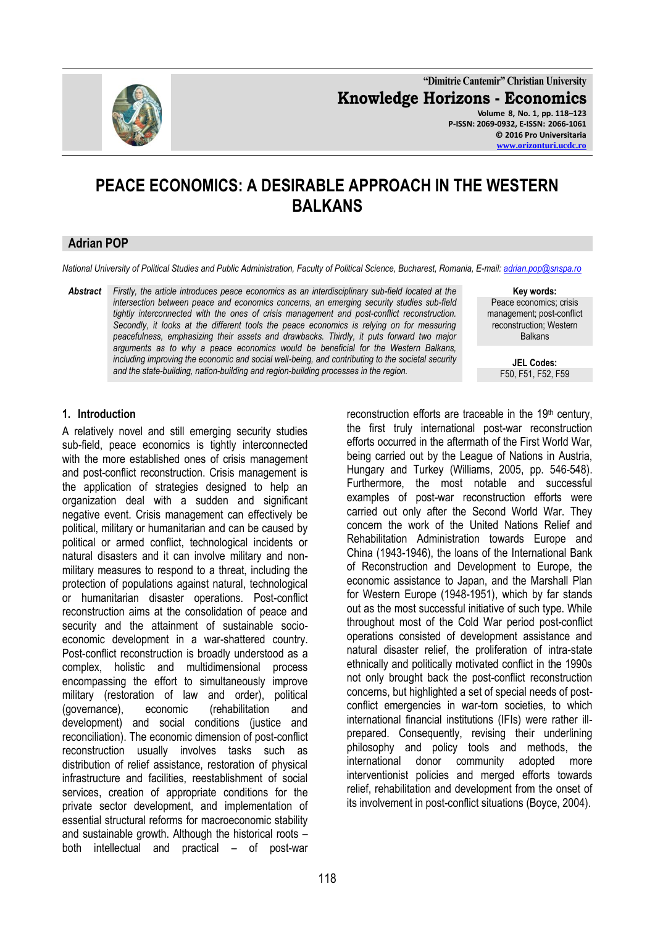

**"Dimitrie Cantemir" Christian University Knowledge Horizons - Economics Volume 8, No. 1, pp. 118–123 P-ISSN: 2069-0932, E-ISSN: 2066-1061 © 2016 Pro Universitaria [www.orizonturi.ucdc.ro](http://www.orizonturi.ucdc.ro/)**

# **PEACE ECONOMICS: A DESIRABLE APPROACH IN THE WESTERN BALKANS**

#### **Adrian POP**

*National University of Political Studies and Public Administration, Faculty of Political Science, Bucharest, Romania, E-mail: [adrian.pop@snspa.ro](mailto:adrian.pop@snspa.ro)*

*Abstract Firstly, the article introduces peace economics as an interdisciplinary sub-field located at the intersection between peace and economics concerns, an emerging security studies sub-field tightly interconnected with the ones of crisis management and post-conflict reconstruction. Secondly, it looks at the different tools the peace economics is relying on for measuring peacefulness, emphasizing their assets and drawbacks. Thirdly, it puts forward two major arguments as to why a peace economics would be beneficial for the Western Balkans, including improving the economic and social well-being, and contributing to the societal security and the state-building, nation-building and region-building processes in the region.*

**Key words:** Peace economics; crisis management; post-conflict reconstruction; Western Balkans

> **JEL Codes:** F50, F51, F52, F59

#### **1. Introduction**

A relatively novel and still emerging security studies sub-field, peace economics is tightly interconnected with the more established ones of crisis management and post-conflict reconstruction. Crisis management is the application of strategies designed to help an organization deal with a sudden and significant negative event. Crisis management can effectively be political, military or humanitarian and can be caused by political or armed conflict, technological incidents or natural disasters and it can involve military and nonmilitary measures to respond to a threat, including the protection of populations against natural, technological or humanitarian disaster operations. Post-conflict reconstruction aims at the consolidation of peace and security and the attainment of sustainable socioeconomic development in a war-shattered country. Post-conflict reconstruction is broadly understood as a complex, holistic and multidimensional process encompassing the effort to simultaneously improve military (restoration of law and order), political (governance), economic (rehabilitation and development) and social conditions (justice and reconciliation). The economic dimension of post-conflict reconstruction usually involves tasks such as distribution of relief assistance, restoration of physical infrastructure and facilities, reestablishment of social services, creation of appropriate conditions for the private sector development, and implementation of essential structural reforms for macroeconomic stability and sustainable growth. Although the historical roots – both intellectual and practical – of post-war reconstruction efforts are traceable in the 19<sup>th</sup> century, the first truly international post-war reconstruction efforts occurred in the aftermath of the First World War, being carried out by the League of Nations in Austria, Hungary and Turkey (Williams, 2005, pp. 546-548). Furthermore, the most notable and successful examples of post-war reconstruction efforts were carried out only after the Second World War. They concern the work of the United Nations Relief and Rehabilitation Administration towards Europe and China (1943-1946), the loans of the International Bank of Reconstruction and Development to Europe, the economic assistance to Japan, and the Marshall Plan for Western Europe (1948-1951), which by far stands out as the most successful initiative of such type. While throughout most of the Cold War period post-conflict operations consisted of development assistance and natural disaster relief, the proliferation of intra-state ethnically and politically motivated conflict in the 1990s not only brought back the post-conflict reconstruction concerns, but highlighted a set of special needs of postconflict emergencies in war-torn societies, to which international financial institutions (IFIs) were rather illprepared. Consequently, revising their underlining philosophy and policy tools and methods, the international donor community adopted more interventionist policies and merged efforts towards relief, rehabilitation and development from the onset of its involvement in post-conflict situations (Boyce, 2004).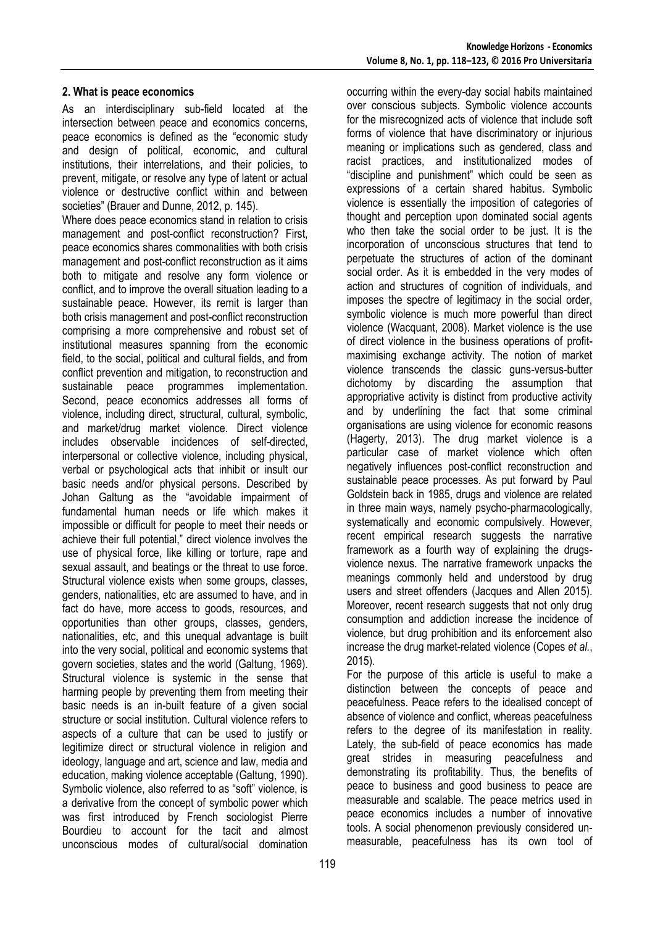### **2. What is peace economics**

As an interdisciplinary sub-field located at the intersection between peace and economics concerns, peace economics is defined as the "economic study and design of political, economic, and cultural institutions, their interrelations, and their policies, to prevent, mitigate, or resolve any type of latent or actual violence or destructive conflict within and between societies" (Brauer and Dunne, 2012, p. 145).

Where does peace economics stand in relation to crisis management and post-conflict reconstruction? First, peace economics shares commonalities with both crisis management and post-conflict reconstruction as it aims both to mitigate and resolve any form violence or conflict, and to improve the overall situation leading to a sustainable peace. However, its remit is larger than both crisis management and post-conflict reconstruction comprising a more comprehensive and robust set of institutional measures spanning from the economic field, to the social, political and cultural fields, and from conflict prevention and mitigation, to reconstruction and sustainable peace programmes implementation. Second, peace economics addresses all forms of violence, including direct, structural, cultural, symbolic, and market/drug market violence. Direct violence includes observable incidences of self-directed, interpersonal or collective violence, including physical, verbal or psychological acts that inhibit or insult our basic needs and/or physical persons. Described by Johan Galtung as the "avoidable impairment of fundamental human needs or life which makes it impossible or difficult for people to meet their needs or achieve their full potential," direct violence involves the use of physical force, like killing or torture, rape and sexual assault, and beatings or the threat to use force. Structural violence exists when some groups, classes, genders, nationalities, etc are assumed to have, and in fact do have, more access to goods, resources, and opportunities than other groups, classes, genders, nationalities, etc, and this unequal advantage is built into the very social, political and economic systems that govern societies, states and the world (Galtung, 1969). Structural violence is systemic in the sense that harming people by preventing them from meeting their basic needs is an in-built feature of a given social structure or social institution. Cultural violence refers to aspects of a culture that can be used to justify or legitimize direct or structural violence in religion and ideology, language and art, science and law, media and education, making violence acceptable (Galtung, 1990). Symbolic violence, also referred to as "soft" violence, is a derivative from the concept of symbolic power which was first introduced by French sociologist Pierre Bourdieu to account for the tacit and almost unconscious modes of cultural/social domination

occurring within the every-day social habits maintained over conscious subjects. Symbolic violence accounts for the misrecognized acts of violence that include soft forms of violence that have discriminatory or injurious meaning or implications such as gendered, class and racist practices, and institutionalized modes of "discipline and punishment" which could be seen as expressions of a certain shared habitus. Symbolic violence is essentially the imposition of categories of thought and perception upon dominated social agents who then take the social order to be just. It is the incorporation of unconscious structures that tend to perpetuate the structures of action of the dominant social order. As it is embedded in the very modes of action and structures of cognition of individuals, and imposes the spectre of legitimacy in the social order, symbolic violence is much more powerful than direct violence (Wacquant, 2008). Market violence is the use of direct violence in the business operations of profitmaximising exchange activity. The notion of market violence transcends the classic guns-versus-butter dichotomy by discarding the assumption that appropriative activity is distinct from productive activity and by underlining the fact that some criminal organisations are using violence for economic reasons (Hagerty, 2013). The drug market violence is a particular case of market violence which often negatively influences post-conflict reconstruction and sustainable peace processes. As put forward by Paul Goldstein back in 1985, drugs and violence are related in three main ways, namely psycho-pharmacologically, systematically and economic compulsively. However, recent empirical research suggests the narrative framework as a fourth way of explaining the drugsviolence nexus. The narrative framework unpacks the meanings commonly held and understood by drug users and street offenders (Jacques and Allen 2015). Moreover, recent research suggests that not only drug consumption and addiction increase the incidence of violence, but drug prohibition and its enforcement also increase the drug market-related violence (Copes *et al.*, 2015).

For the purpose of this article is useful to make a distinction between the concepts of peace and peacefulness. Peace refers to the idealised concept of absence of violence and conflict, whereas peacefulness refers to the degree of its manifestation in reality. Lately, the sub-field of peace economics has made great strides in measuring peacefulness and demonstrating its profitability. Thus, the benefits of peace to business and good business to peace are measurable and scalable. The peace metrics used in peace economics includes a number of innovative tools. A social phenomenon previously considered unmeasurable, peacefulness has its own tool of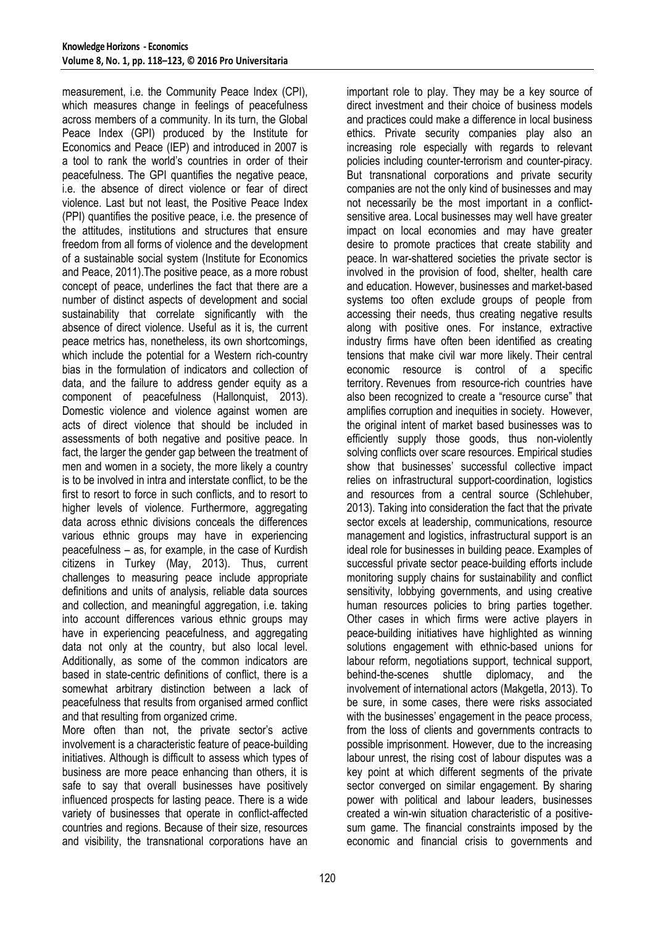measurement, i.e. the Community Peace Index (CPI), which measures change in feelings of peacefulness across members of a community. In its turn, the Global Peace Index (GPI) produced by the Institute for Economics and Peace (IEP) and introduced in 2007 is a tool to rank the world's countries in order of their peacefulness. The GPI quantifies the negative peace, i.e. the absence of direct violence or fear of direct violence. Last but not least, the Positive Peace Index (PPI) quantifies the positive peace, i.e. the presence of the attitudes, institutions and structures that ensure freedom from all forms of violence and the development of a sustainable social system (Institute for Economics and Peace, 2011).The positive peace, as a more robust concept of peace, underlines the fact that there are a number of distinct aspects of development and social sustainability that correlate significantly with the absence of direct violence. Useful as it is, the current peace metrics has, nonetheless, its own shortcomings, which include the potential for a Western rich-country bias in the formulation of indicators and collection of data, and the failure to address gender equity as a component of peacefulness (Hallonquist, 2013). Domestic violence and violence against women are acts of direct violence that should be included in assessments of both negative and positive peace. In fact, the larger the gender gap between the treatment of men and women in a society, the more likely a country is to be involved in intra and interstate conflict, to be the first to resort to force in such conflicts, and to resort to higher levels of violence. Furthermore, aggregating data across ethnic divisions conceals the differences various ethnic groups may have in experiencing peacefulness – as, for example, in the case of Kurdish citizens in Turkey (May, 2013). Thus, current challenges to measuring peace include appropriate definitions and units of analysis, reliable data sources and collection, and meaningful aggregation, i.e. taking into account differences various ethnic groups may have in experiencing peacefulness, and aggregating data not only at the country, but also local level. Additionally, as some of the common indicators are based in state-centric definitions of conflict, there is a somewhat arbitrary distinction between a lack of peacefulness that results from organised armed conflict and that resulting from organized crime.

More often than not, the private sector's active involvement is a characteristic feature of peace-building initiatives. Although is difficult to assess which types of business are more peace enhancing than others, it is safe to say that overall businesses have positively influenced prospects for lasting peace. There is a wide variety of businesses that operate in conflict-affected countries and regions. Because of their size, resources and visibility, the transnational corporations have an important role to play. They may be a key source of direct investment and their choice of business models and practices could make a difference in local business ethics. Private security companies play also an increasing role especially with regards to relevant policies including counter-terrorism and counter-piracy. But transnational corporations and private security companies are not the only kind of businesses and may not necessarily be the most important in a conflictsensitive area. Local businesses may well have greater impact on local economies and may have greater desire to promote practices that create stability and peace. In war-shattered societies the private sector is involved in the provision of food, shelter, health care and education. However, businesses and market-based systems too often exclude groups of people from accessing their needs, thus creating negative results along with positive ones. For instance, extractive industry firms have often been identified as creating tensions that make civil war more likely. Their central economic resource is control of a specific territory. Revenues from resource-rich countries have also been recognized to create a "resource curse" that amplifies corruption and inequities in society. However, the original intent of market based businesses was to efficiently supply those goods, thus non-violently solving conflicts over scare resources. Empirical studies show that businesses' successful collective impact relies on infrastructural support-coordination, logistics and resources from a central source (Schlehuber, 2013). Taking into consideration the fact that the private sector excels at leadership, communications, resource management and logistics, infrastructural support is an ideal role for businesses in building peace. Examples of successful private sector peace-building efforts include monitoring supply chains for sustainability and conflict sensitivity, lobbying governments, and using creative human resources policies to bring parties together. Other cases in which firms were active players in peace-building initiatives have highlighted as winning solutions engagement with ethnic-based unions for labour reform, negotiations support, technical support, behind-the-scenes shuttle diplomacy, and the involvement of international actors (Makgetla, 2013). To be sure, in some cases, there were risks associated with the businesses' engagement in the peace process, from the loss of clients and governments contracts to possible imprisonment. However, due to the increasing labour unrest, the rising cost of labour disputes was a key point at which different segments of the private sector converged on similar engagement. By sharing power with political and labour leaders, businesses created a win-win situation characteristic of a positivesum game. The financial constraints imposed by the economic and financial crisis to governments and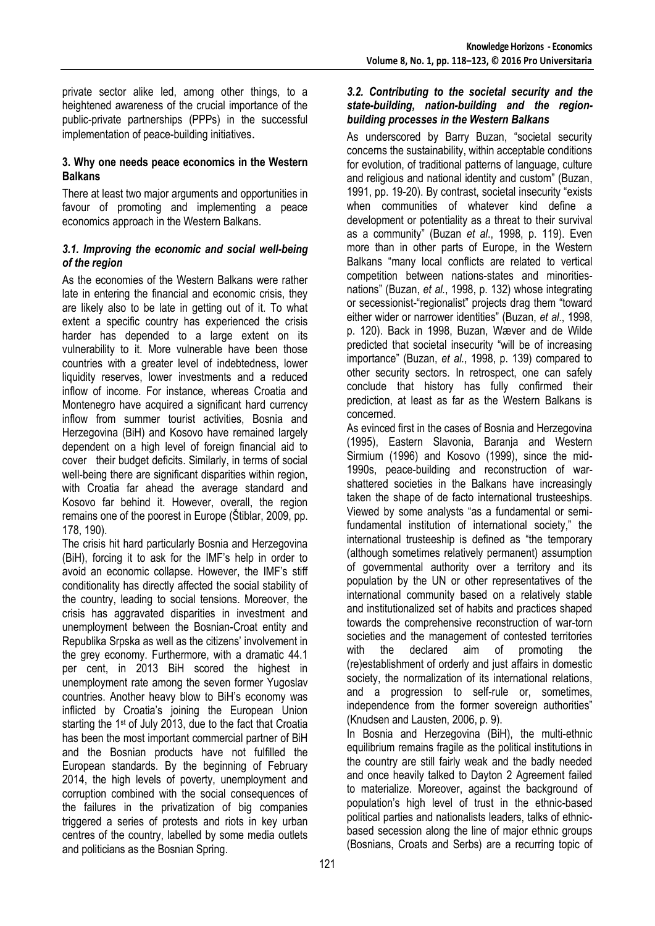private sector alike led, among other things, to a heightened awareness of the crucial importance of the public-private partnerships (PPPs) in the successful implementation of peace-building initiatives.

### **3. Why one needs peace economics in the Western Balkans**

There at least two major arguments and opportunities in favour of promoting and implementing a peace economics approach in the Western Balkans.

### *3.1. Improving the economic and social well-being of the region*

As the economies of the Western Balkans were rather late in entering the financial and economic crisis, they are likely also to be late in getting out of it. To what extent a specific country has experienced the crisis harder has depended to a large extent on its vulnerability to it. More vulnerable have been those countries with a greater level of indebtedness, lower liquidity reserves, lower investments and a reduced inflow of income. For instance, whereas Croatia and Montenegro have acquired a significant hard currency inflow from summer tourist activities, Bosnia and Herzegovina (BiH) and Kosovo have remained largely dependent on a high level of foreign financial aid to cover their budget deficits. Similarly, in terms of social well-being there are significant disparities within region, with Croatia far ahead the average standard and Kosovo far behind it. However, overall, the region remains one of the poorest in Europe (Štiblar, 2009, pp. 178, 190).

The crisis hit hard particularly Bosnia and Herzegovina (BiH), forcing it to ask for the IMF's help in order to avoid an economic collapse. However, the IMF's stiff conditionality has directly affected the social stability of the country, leading to social tensions. Moreover, the crisis has aggravated disparities in investment and unemployment between the Bosnian-Croat entity and Republika Srpska as well as the citizens' involvement in the grey economy. Furthermore, with a dramatic 44.1 per cent, in 2013 BiH scored the highest in unemployment rate among the seven former Yugoslav countries. Another heavy blow to BiH's economy was inflicted by Croatia's joining the European Union starting the 1<sup>st</sup> of July 2013, due to the fact that Croatia has been the most important commercial partner of BiH and the Bosnian products have not fulfilled the European standards. By the beginning of February 2014, the high levels of poverty, unemployment and corruption combined with the social consequences of the failures in the privatization of big companies triggered a series of protests and riots in key urban centres of the country, labelled by some media outlets and politicians as the Bosnian Spring.

#### *3.2. Contributing to the societal security and the state-building, nation-building and the regionbuilding processes in the Western Balkans*

As underscored by Barry Buzan, "societal security concerns the sustainability, within acceptable conditions for evolution, of traditional patterns of language, culture and religious and national identity and custom" (Buzan, 1991, pp. 19-20). By contrast, societal insecurity "exists when communities of whatever kind define a development or potentiality as a threat to their survival as a community" (Buzan *et al*., 1998, p. 119). Even more than in other parts of Europe, in the Western Balkans "many local conflicts are related to vertical competition between nations-states and minoritiesnations" (Buzan, *et al.*, 1998, p. 132) whose integrating or secessionist-"regionalist" projects drag them "toward either wider or narrower identities" (Buzan, *et al*., 1998, p. 120). Back in 1998, Buzan, Wæver and de Wilde predicted that societal insecurity "will be of increasing importance" (Buzan, *et al.*, 1998, p. 139) compared to other security sectors. In retrospect, one can safely conclude that history has fully confirmed their prediction, at least as far as the Western Balkans is concerned.

As evinced first in the cases of Bosnia and Herzegovina (1995), Eastern Slavonia, Baranja and Western Sirmium (1996) and Kosovo (1999), since the mid-1990s, peace-building and reconstruction of warshattered societies in the Balkans have increasingly taken the shape of de facto international trusteeships. Viewed by some analysts "as a fundamental or semifundamental institution of international society," the international trusteeship is defined as "the temporary (although sometimes relatively permanent) assumption of governmental authority over a territory and its population by the UN or other representatives of the international community based on a relatively stable and institutionalized set of habits and practices shaped towards the comprehensive reconstruction of war-torn societies and the management of contested territories with the declared aim of promoting the (re)establishment of orderly and just affairs in domestic society, the normalization of its international relations, and a progression to self-rule or, sometimes, independence from the former sovereign authorities" (Knudsen and Lausten, 2006, p. 9).

In Bosnia and Herzegovina (BiH), the multi-ethnic equilibrium remains fragile as the political institutions in the country are still fairly weak and the badly needed and once heavily talked to Dayton 2 Agreement failed to materialize. Moreover, against the background of population's high level of trust in the ethnic-based political parties and nationalists leaders, talks of ethnicbased secession along the line of major ethnic groups (Bosnians, Croats and Serbs) are a recurring topic of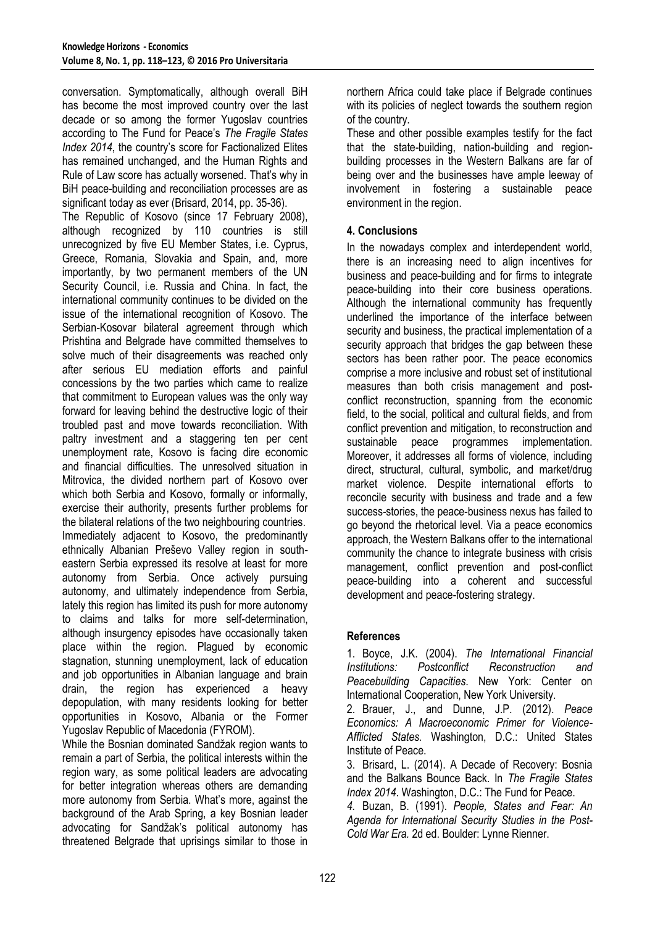conversation. Symptomatically, although overall BiH has become the most improved country over the last decade or so among the former Yugoslav countries according to The Fund for Peace's *The Fragile States Index 2014*, the country's score for Factionalized Elites has remained unchanged, and the Human Rights and Rule of Law score has actually worsened. That's why in BiH peace-building and reconciliation processes are as significant today as ever (Brisard, 2014, pp. 35-36).

The Republic of Kosovo (since 17 February 2008), although recognized by 110 countries is still unrecognized by five EU Member States, i.e. Cyprus, Greece, Romania, Slovakia and Spain, and, more importantly, by two permanent members of the UN Security Council, i.e. Russia and China. In fact, the international community continues to be divided on the issue of the international recognition of Kosovo. The Serbian-Kosovar bilateral agreement through which Prishtina and Belgrade have committed themselves to solve much of their disagreements was reached only after serious EU mediation efforts and painful concessions by the two parties which came to realize that commitment to European values was the only way forward for leaving behind the destructive logic of their troubled past and move towards reconciliation. With paltry investment and a staggering ten per cent unemployment rate, Kosovo is facing dire economic and financial difficulties. The unresolved situation in Mitrovica, the divided northern part of Kosovo over which both Serbia and Kosovo, formally or informally, exercise their authority, presents further problems for the bilateral relations of the two neighbouring countries. Immediately adjacent to Kosovo, the predominantly ethnically Albanian Preševo Valley region in southeastern Serbia expressed its resolve at least for more autonomy from Serbia. Once actively pursuing autonomy, and ultimately independence from Serbia, lately this region has limited its push for more autonomy to claims and talks for more self-determination, although insurgency episodes have occasionally taken place within the region. Plagued by economic stagnation, stunning unemployment, lack of education and job opportunities in Albanian language and brain drain, the region has experienced a heavy depopulation, with many residents looking for better opportunities in Kosovo, Albania or the Former Yugoslav Republic of Macedonia (FYROM).

While the Bosnian dominated Sandžak region wants to remain a part of Serbia, the political interests within the region wary, as some political leaders are advocating for better integration whereas others are demanding more autonomy from Serbia. What's more, against the background of the Arab Spring, a key Bosnian leader advocating for Sandžak's political autonomy has threatened Belgrade that uprisings similar to those in northern Africa could take place if Belgrade continues with its policies of neglect towards the southern region of the country.

These and other possible examples testify for the fact that the state-building, nation-building and regionbuilding processes in the Western Balkans are far of being over and the businesses have ample leeway of involvement in fostering a sustainable peace environment in the region.

## **4. Conclusions**

In the nowadays complex and interdependent world, there is an increasing need to align incentives for business and peace-building and for firms to integrate peace-building into their core business operations. Although the international community has frequently underlined the importance of the interface between security and business, the practical implementation of a security approach that bridges the gap between these sectors has been rather poor. The peace economics comprise a more inclusive and robust set of institutional measures than both crisis management and postconflict reconstruction, spanning from the economic field, to the social, political and cultural fields, and from conflict prevention and mitigation, to reconstruction and sustainable peace programmes implementation. Moreover, it addresses all forms of violence, including direct, structural, cultural, symbolic, and market/drug market violence. Despite international efforts to reconcile security with business and trade and a few success-stories, the peace-business nexus has failed to go beyond the rhetorical level. Via a peace economics approach, the Western Balkans offer to the international community the chance to integrate business with crisis management, conflict prevention and post-conflict peace-building into a coherent and successful development and peace-fostering strategy.

## **References**

1. Boyce, J.K. (2004). *The International Financial Institutions: Postconflict Reconstruction and Peacebuilding Capacities*. New York: Center on International Cooperation, New York University.

2. Brauer, J., and Dunne, J.P. (2012). *Peace Economics: A Macroeconomic Primer for Violence-Afflicted States.* Washington, D.C.: United States Institute of Peace.

3. Brisard, L. (2014). A Decade of Recovery: Bosnia and the Balkans Bounce Back. In *The Fragile States Index 2014*. Washington, D.C.: The Fund for Peace.

*4.* Buzan, B. (1991). *People, States and Fear: An Agenda for International Security Studies in the Post-Cold War Era.* 2d ed. Boulder: Lynne Rienner.